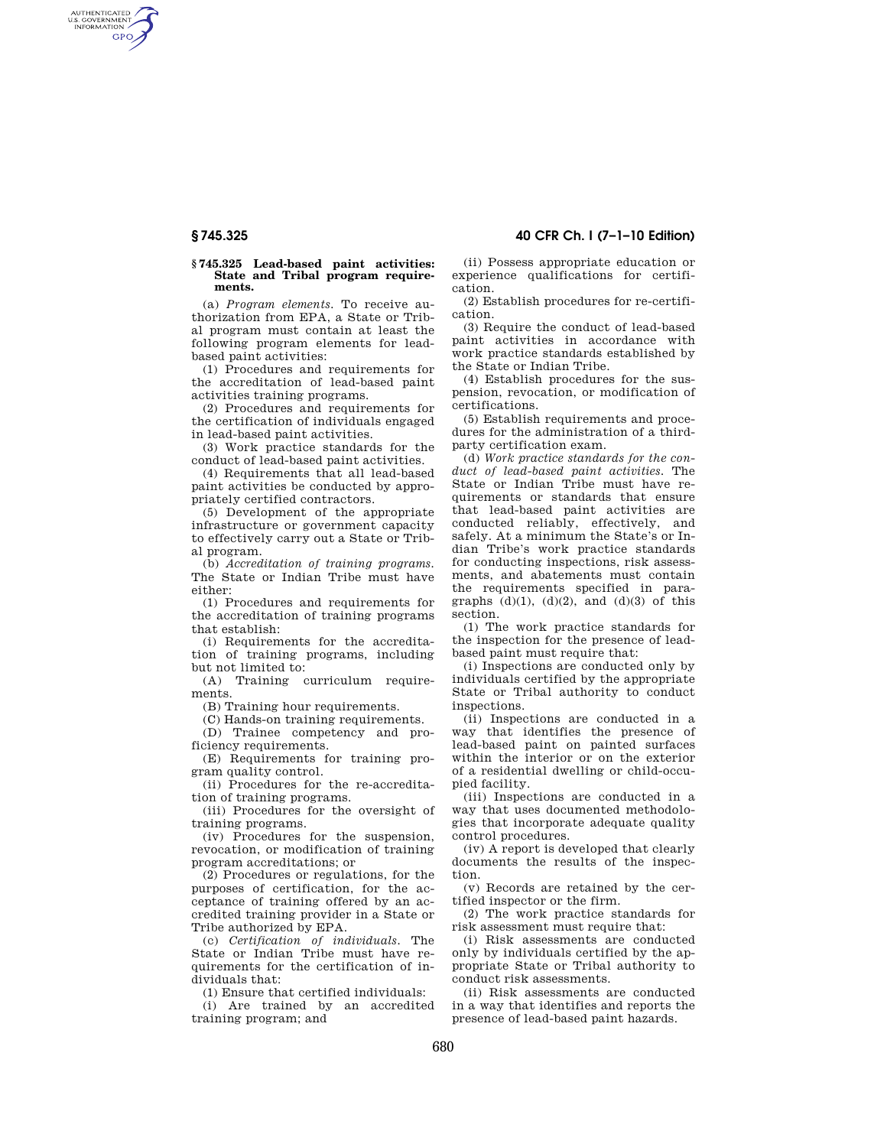AUTHENTICATED<br>U.S. GOVERNMENT<br>INFORMATION **GPO** 

# **§ 745.325 40 CFR Ch. I (7–1–10 Edition)**

#### **§ 745.325 Lead-based paint activities: State and Tribal program requirements.**

(a) *Program elements.* To receive authorization from EPA, a State or Tribal program must contain at least the following program elements for leadbased paint activities:

(1) Procedures and requirements for the accreditation of lead-based paint activities training programs.

(2) Procedures and requirements for the certification of individuals engaged in lead-based paint activities.

(3) Work practice standards for the conduct of lead-based paint activities.

(4) Requirements that all lead-based paint activities be conducted by appropriately certified contractors.

(5) Development of the appropriate infrastructure or government capacity to effectively carry out a State or Tribal program.

(b) *Accreditation of training programs.*  The State or Indian Tribe must have either:

(1) Procedures and requirements for the accreditation of training programs that establish:

(i) Requirements for the accreditation of training programs, including but not limited to:

(A) Training curriculum requirements.

(B) Training hour requirements.

(C) Hands-on training requirements.

(D) Trainee competency and proficiency requirements. (E) Requirements for training pro-

gram quality control.

(ii) Procedures for the re-accreditation of training programs.

(iii) Procedures for the oversight of training programs.

(iv) Procedures for the suspension, revocation, or modification of training program accreditations; or

(2) Procedures or regulations, for the purposes of certification, for the acceptance of training offered by an accredited training provider in a State or Tribe authorized by EPA.

(c) *Certification of individuals.* The State or Indian Tribe must have requirements for the certification of individuals that:

(1) Ensure that certified individuals:

(i) Are trained by an accredited training program; and

(ii) Possess appropriate education or experience qualifications for certification.

(2) Establish procedures for re-certification.

(3) Require the conduct of lead-based paint activities in accordance with work practice standards established by the State or Indian Tribe.

(4) Establish procedures for the suspension, revocation, or modification of certifications.

(5) Establish requirements and procedures for the administration of a thirdparty certification exam.

(d) *Work practice standards for the conduct of lead-based paint activities.* The State or Indian Tribe must have requirements or standards that ensure that lead-based paint activities are conducted reliably, effectively, and safely. At a minimum the State's or Indian Tribe's work practice standards for conducting inspections, risk assessments, and abatements must contain the requirements specified in paragraphs  $(d)(1)$ ,  $(d)(2)$ , and  $(d)(3)$  of this section.

(1) The work practice standards for the inspection for the presence of leadbased paint must require that:

(i) Inspections are conducted only by individuals certified by the appropriate State or Tribal authority to conduct inspections.

(ii) Inspections are conducted in a way that identifies the presence of lead-based paint on painted surfaces within the interior or on the exterior of a residential dwelling or child-occupied facility.

(iii) Inspections are conducted in a way that uses documented methodologies that incorporate adequate quality control procedures.

(iv) A report is developed that clearly documents the results of the inspection.

(v) Records are retained by the certified inspector or the firm.

(2) The work practice standards for risk assessment must require that:

(i) Risk assessments are conducted only by individuals certified by the appropriate State or Tribal authority to conduct risk assessments.

(ii) Risk assessments are conducted in a way that identifies and reports the presence of lead-based paint hazards.